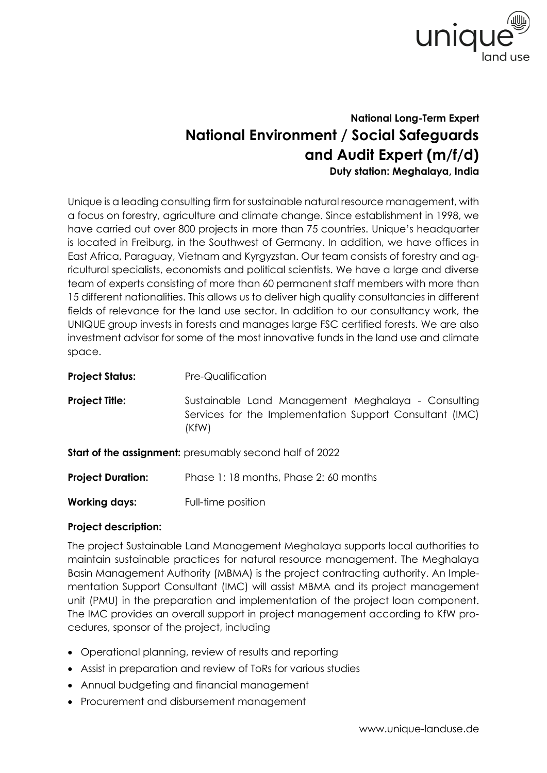

## **National Long-Term Expert National Environment / Social Safeguards and Audit Expert (m/f/d) Duty station: Meghalaya, India**

Unique is a leading consulting firm for sustainable natural resource management, with a focus on forestry, agriculture and climate change. Since establishment in 1998, we have carried out over 800 projects in more than 75 countries. Unique's headquarter is located in Freiburg, in the Southwest of Germany. In addition, we have offices in East Africa, Paraguay, Vietnam and Kyrgyzstan. Our team consists of forestry and agricultural specialists, economists and political scientists. We have a large and diverse team of experts consisting of more than 60 permanent staff members with more than 15 different nationalities. This allows us to deliver high quality consultancies in different fields of relevance for the land use sector. In addition to our consultancy work, the UNIQUE group invests in forests and manages large FSC certified forests. We are also investment advisor for some of the most innovative funds in the land use and climate space.

| <b>Project Status:</b>   | Pre-Qualification                                                                                                       |
|--------------------------|-------------------------------------------------------------------------------------------------------------------------|
| <b>Project Title:</b>    | Sustainable Land Management Meghalaya - Consulting<br>Services for the Implementation Support Consultant (IMC)<br>(KfW) |
|                          | <b>Start of the assignment:</b> presumably second half of 2022                                                          |
| <b>Project Duration:</b> | Phase 1:18 months, Phase 2:60 months                                                                                    |

**Working days:** Full-time position

## **Project description:**

The project Sustainable Land Management Meghalaya supports local authorities to maintain sustainable practices for natural resource management. The Meghalaya Basin Management Authority (MBMA) is the project contracting authority. An Implementation Support Consultant (IMC) will assist MBMA and its project management unit (PMU) in the preparation and implementation of the project loan component. The IMC provides an overall support in project management according to KfW procedures, sponsor of the project, including

- Operational planning, review of results and reporting
- Assist in preparation and review of ToRs for various studies
- Annual budgeting and financial management
- Procurement and disbursement management